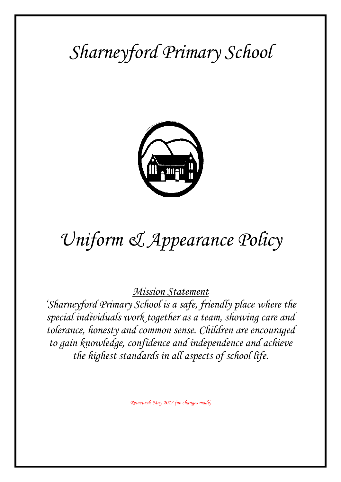## *Sharneyford Primary School*



# *Uniform & Appearance Policy*

*Mission Statement*

*'Sharneyford Primary School is a safe, friendly place where the special individuals work together as a team, showing care and tolerance, honesty and common sense. Children are encouraged to gain knowledge, confidence and independence and achieve the highest standards in all aspects of school life.*

*Reviewed: May 2017 (no changes made)*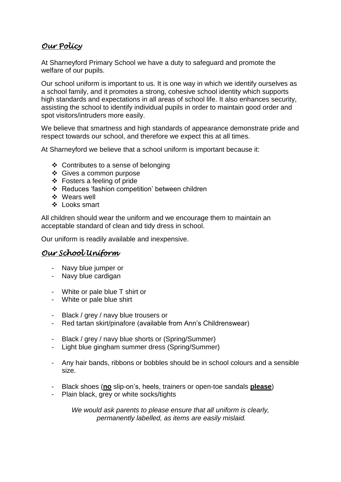## *Our Policy*

At Sharneyford Primary School we have a duty to safeguard and promote the welfare of our pupils.

Our school uniform is important to us. It is one way in which we identify ourselves as a school family, and it promotes a strong, cohesive school identity which supports high standards and expectations in all areas of school life. It also enhances security, assisting the school to identify individual pupils in order to maintain good order and spot visitors/intruders more easily.

We believe that smartness and high standards of appearance demonstrate pride and respect towards our school, and therefore we expect this at all times.

At Sharneyford we believe that a school uniform is important because it:

- $\triangleleft$  Contributes to a sense of belonging
- Gives a common purpose
- Fosters a feeling of pride
- Reduces 'fashion competition' between children
- Wears well
- Looks smart

All children should wear the uniform and we encourage them to maintain an acceptable standard of clean and tidy dress in school.

Our uniform is readily available and inexpensive.

### *Our School Uniform*

- Navy blue jumper or
- Navy blue cardigan
- White or pale blue T shirt or
- White or pale blue shirt
- Black / grey / navy blue trousers or
- Red tartan skirt/pinafore (available from Ann's Childrenswear)
- Black / grey / navy blue shorts or (Spring/Summer)
- Light blue gingham summer dress (Spring/Summer)
- Any hair bands, ribbons or bobbles should be in school colours and a sensible size.
- Black shoes (**no** slip-on's, heels, trainers or open-toe sandals **please**)
- Plain black, grey or white socks/tights

*We would ask parents to please ensure that all uniform is clearly, permanently labelled, as items are easily mislaid.*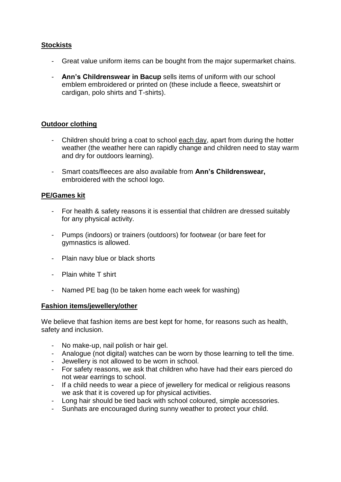#### **Stockists**

- Great value uniform items can be bought from the major supermarket chains.
- **Ann's Childrenswear in Bacup** sells items of uniform with our school emblem embroidered or printed on (these include a fleece, sweatshirt or cardigan, polo shirts and T-shirts).

#### **Outdoor clothing**

- Children should bring a coat to school each day, apart from during the hotter weather (the weather here can rapidly change and children need to stay warm and dry for outdoors learning).
- Smart coats/fleeces are also available from **Ann's Childrenswear,**  embroidered with the school logo.

#### **PE/Games kit**

- For health & safety reasons it is essential that children are dressed suitably for any physical activity.
- Pumps (indoors) or trainers (outdoors) for footwear (or bare feet for gymnastics is allowed.
- Plain navy blue or black shorts
- Plain white T shirt
- Named PE bag (to be taken home each week for washing)

#### **Fashion items/jewellery/other**

We believe that fashion items are best kept for home, for reasons such as health, safety and inclusion.

- No make-up, nail polish or hair gel.
- Analogue (not digital) watches can be worn by those learning to tell the time.
- Jewellery is not allowed to be worn in school.
- For safety reasons, we ask that children who have had their ears pierced do not wear earrings to school.
- If a child needs to wear a piece of jewellery for medical or religious reasons we ask that it is covered up for physical activities.
- Long hair should be tied back with school coloured, simple accessories.
- Sunhats are encouraged during sunny weather to protect your child.